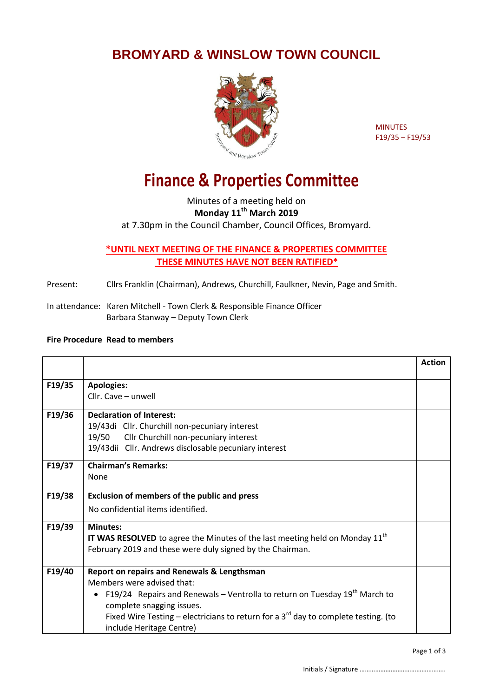## **BROMYARD & WINSLOW TOWN COUNCIL**



MINUTES F19/35 – F19/53

## **Finance & Properties Committee**

Minutes of a meeting held on **Monday 11th March 2019** at 7.30pm in the Council Chamber, Council Offices, Bromyard.

## **\*UNTIL NEXT MEETING OF THE FINANCE & PROPERTIES COMMITTEE THESE MINUTES HAVE NOT BEEN RATIFIED\***

Present: Cllrs Franklin (Chairman), Andrews, Churchill, Faulkner, Nevin, Page and Smith.

In attendance: Karen Mitchell - Town Clerk & Responsible Finance Officer Barbara Stanway – Deputy Town Clerk

## **Fire Procedure Read to members**

|        |                                                                                          | <b>Action</b> |
|--------|------------------------------------------------------------------------------------------|---------------|
| F19/35 | <b>Apologies:</b>                                                                        |               |
|        | Cllr. Cave - unwell                                                                      |               |
| F19/36 | <b>Declaration of Interest:</b>                                                          |               |
|        | 19/43di Cllr. Churchill non-pecuniary interest                                           |               |
|        | 19/50<br>Cllr Churchill non-pecuniary interest                                           |               |
|        | 19/43dii Cllr. Andrews disclosable pecuniary interest                                    |               |
| F19/37 | <b>Chairman's Remarks:</b>                                                               |               |
|        | None                                                                                     |               |
| F19/38 | <b>Exclusion of members of the public and press</b>                                      |               |
|        | No confidential items identified.                                                        |               |
| F19/39 | <b>Minutes:</b>                                                                          |               |
|        | IT WAS RESOLVED to agree the Minutes of the last meeting held on Monday 11 <sup>th</sup> |               |
|        | February 2019 and these were duly signed by the Chairman.                                |               |
| F19/40 | <b>Report on repairs and Renewals &amp; Lengthsman</b>                                   |               |
|        | Members were advised that:                                                               |               |
|        | F19/24 Repairs and Renewals – Ventrolla to return on Tuesday 19 <sup>th</sup> March to   |               |
|        | complete snagging issues.                                                                |               |
|        | Fixed Wire Testing – electricians to return for a $3^{rd}$ day to complete testing. (to  |               |
|        | include Heritage Centre)                                                                 |               |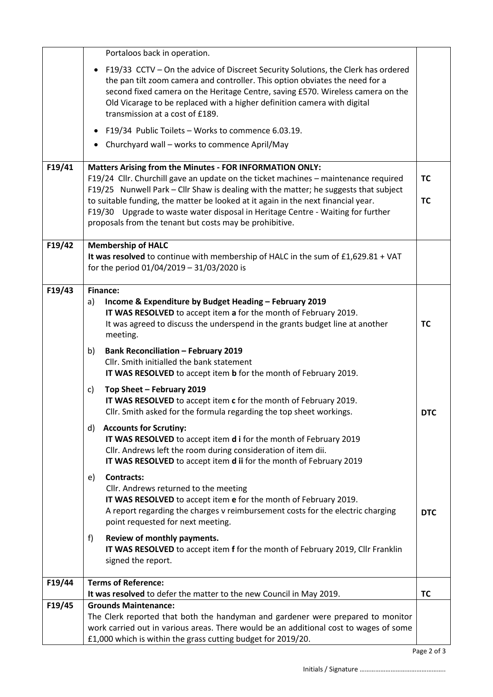|        | Portaloos back in operation.                                                                                                                                                                                                                                                                                                                                          |            |
|--------|-----------------------------------------------------------------------------------------------------------------------------------------------------------------------------------------------------------------------------------------------------------------------------------------------------------------------------------------------------------------------|------------|
|        | • F19/33 CCTV - On the advice of Discreet Security Solutions, the Clerk has ordered<br>the pan tilt zoom camera and controller. This option obviates the need for a<br>second fixed camera on the Heritage Centre, saving £570. Wireless camera on the<br>Old Vicarage to be replaced with a higher definition camera with digital<br>transmission at a cost of £189. |            |
|        | F19/34 Public Toilets - Works to commence 6.03.19.<br>$\bullet$                                                                                                                                                                                                                                                                                                       |            |
|        | Churchyard wall - works to commence April/May                                                                                                                                                                                                                                                                                                                         |            |
| F19/41 | <b>Matters Arising from the Minutes - FOR INFORMATION ONLY:</b>                                                                                                                                                                                                                                                                                                       |            |
|        | F19/24 Cllr. Churchill gave an update on the ticket machines - maintenance required<br>F19/25 Nunwell Park - Cllr Shaw is dealing with the matter; he suggests that subject                                                                                                                                                                                           | <b>TC</b>  |
|        | to suitable funding, the matter be looked at it again in the next financial year.<br>F19/30 Upgrade to waste water disposal in Heritage Centre - Waiting for further<br>proposals from the tenant but costs may be prohibitive.                                                                                                                                       | <b>TC</b>  |
| F19/42 | <b>Membership of HALC</b>                                                                                                                                                                                                                                                                                                                                             |            |
|        | It was resolved to continue with membership of HALC in the sum of £1,629.81 + VAT<br>for the period 01/04/2019 - 31/03/2020 is                                                                                                                                                                                                                                        |            |
| F19/43 | <b>Finance:</b>                                                                                                                                                                                                                                                                                                                                                       |            |
|        | Income & Expenditure by Budget Heading - February 2019<br>a)<br>IT WAS RESOLVED to accept item a for the month of February 2019.<br>It was agreed to discuss the underspend in the grants budget line at another<br>meeting.                                                                                                                                          | <b>TC</b>  |
|        | <b>Bank Reconciliation - February 2019</b><br>b)<br>Cllr. Smith initialled the bank statement<br>IT WAS RESOLVED to accept item b for the month of February 2019.                                                                                                                                                                                                     |            |
|        | Top Sheet - February 2019<br>c)<br>IT WAS RESOLVED to accept item c for the month of February 2019.<br>Cllr. Smith asked for the formula regarding the top sheet workings.                                                                                                                                                                                            | <b>DTC</b> |
|        | <b>Accounts for Scrutiny:</b><br>d)<br>IT WAS RESOLVED to accept item d i for the month of February 2019<br>Cllr. Andrews left the room during consideration of item dii.<br>IT WAS RESOLVED to accept item d ii for the month of February 2019                                                                                                                       |            |
|        | <b>Contracts:</b><br>e)<br>Cllr. Andrews returned to the meeting<br>IT WAS RESOLVED to accept item e for the month of February 2019.<br>A report regarding the charges v reimbursement costs for the electric charging<br>point requested for next meeting.                                                                                                           | <b>DTC</b> |
|        | Review of monthly payments.<br>f)<br>IT WAS RESOLVED to accept item f for the month of February 2019, Cllr Franklin<br>signed the report.                                                                                                                                                                                                                             |            |
| F19/44 | <b>Terms of Reference:</b>                                                                                                                                                                                                                                                                                                                                            |            |
| F19/45 | It was resolved to defer the matter to the new Council in May 2019.<br><b>Grounds Maintenance:</b>                                                                                                                                                                                                                                                                    | <b>TC</b>  |
|        | The Clerk reported that both the handyman and gardener were prepared to monitor<br>work carried out in various areas. There would be an additional cost to wages of some<br>£1,000 which is within the grass cutting budget for 2019/20.                                                                                                                              |            |